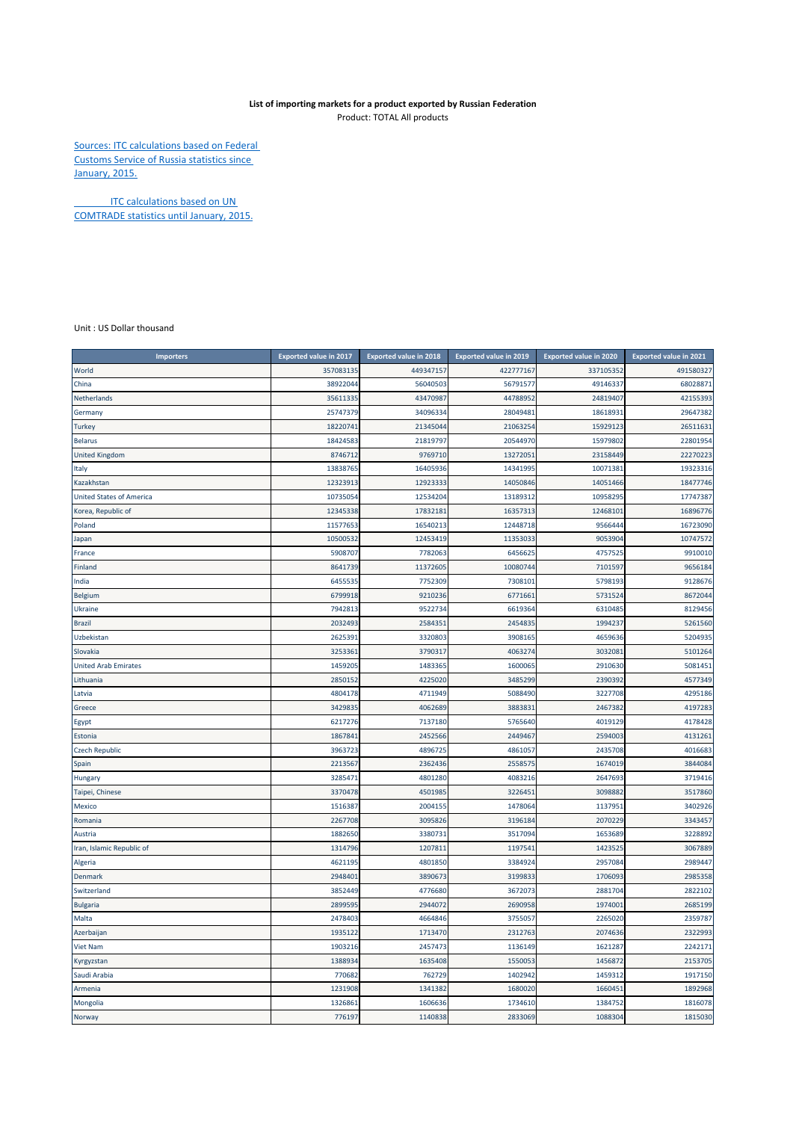## **List of importing markets for a product exported by Russian Federation**

Product: TOTAL All products

Sources: ITC calculations based on Federal Customs Service of Russia statistics since January, 2015.

**ITC calculations based on UN** COMTRADE statistics until January, 2015.

Unit : US Dollar thousand

| <b>Importers</b>                | <b>Exported value in 2017</b> | <b>Exported value in 2018</b> | <b>Exported value in 2019</b> | <b>Exported value in 2020</b> | <b>Exported value in 2021</b> |
|---------------------------------|-------------------------------|-------------------------------|-------------------------------|-------------------------------|-------------------------------|
| World                           | 357083135                     | 449347157                     | 422777167                     | 337105352                     | 491580327                     |
| China                           | 38922044                      | 56040503                      | 56791577                      | 49146337                      | 68028871                      |
| Netherlands                     | 35611335                      | 43470987                      | 44788952                      | 24819407                      | 42155393                      |
| Germany                         | 25747379                      | 34096334                      | 28049481                      | 18618931                      | 29647382                      |
| <b>Turkey</b>                   | 1822074                       | 21345044                      | 2106325                       | 15929123                      | 26511631                      |
| <b>Belarus</b>                  | 18424583                      | 2181979                       | 20544970                      | 15979802                      | 22801954                      |
| <b>United Kingdom</b>           | 874671                        | 9769710                       | 1327205                       | 23158449                      | 22270223                      |
| Italy                           | 13838765                      | 16405936                      | 14341995                      | 10071381                      | 19323316                      |
| Kazakhstan                      | 12323913                      | 12923333                      | 14050846                      | 14051466                      | 18477746                      |
| <b>United States of America</b> | 10735054                      | 12534204                      | 13189312                      | 10958295                      | 17747387                      |
| Korea, Republic of              | 12345338                      | 1783218                       | 16357313                      | 12468101                      | 16896776                      |
| Poland                          | 11577653                      | 16540213                      | 12448718                      | 9566444                       | 16723090                      |
| Japan                           | 10500532                      | 12453419                      | 11353033                      | 9053904                       | 10747572                      |
| France                          | 590870                        | 7782063                       | 6456625                       | 4757525                       | 9910010                       |
| Finland                         | 864173                        | 11372605                      | 10080744                      | 710159                        | 9656184                       |
| India                           | 645553                        | 7752309                       | 7308101                       | 579819                        | 9128676                       |
| <b>Belgium</b>                  | 6799918                       | 9210236                       | 6771661                       | 5731524                       | 8672044                       |
| Ukraine                         | 7942813                       | 9522734                       | 6619364                       | 6310485                       | 8129456                       |
| <b>Brazil</b>                   | 2032493                       | 2584351                       | 2454835                       | 1994237                       | 5261560                       |
| Uzbekistan                      | 262539                        | 3320803                       | 3908165                       | 4659636                       | 5204935                       |
| Slovakia                        | 325336:                       | 3790317                       | 4063274                       | 3032081                       | 5101264                       |
| <b>United Arab Emirates</b>     | 1459205                       | 1483365                       | 1600065                       | 2910630                       | 5081451                       |
| Lithuania                       | 2850152                       | 4225020                       | 3485299                       | 2390392                       | 4577349                       |
| Latvia                          | 4804178                       | 4711949                       | 5088490                       | 3227708                       | 4295186                       |
| Greece                          | 342983                        | 4062689                       | 388383                        | 2467382                       | 4197283                       |
| Egypt                           | 6217276                       | 7137180                       | 5765640                       | 4019129                       | 4178428                       |
| Estonia                         | 186784                        | 2452566                       | 2449467                       | 2594003                       | 4131261                       |
| <b>Czech Republic</b>           | 3963723                       | 4896725                       | 4861057                       | 2435708                       | 4016683                       |
| Spain                           | 2213567                       | 2362436                       | 2558575                       | 1674019                       | 3844084                       |
| Hungary                         | 328547                        | 4801280                       | 4083216                       | 2647693                       | 3719416                       |
| Taipei, Chinese                 | 3370478                       | 4501985                       | 3226451                       | 3098882                       | 3517860                       |
| Mexico                          | 1516387                       | 2004155                       | 1478064                       | 1137951                       | 3402926                       |
| Romania                         | 2267708                       | 3095826                       | 3196184                       | 2070229                       | 3343457                       |
| Austria                         | 188265                        | 3380733                       | 3517094                       | 1653689                       | 3228892                       |
| Iran, Islamic Republic of       | 131479                        | 120781                        | 119754                        | 142352                        | 3067889                       |
| Algeria                         | 462119                        | 4801850                       | 3384924                       | 2957084                       | 2989447                       |
| <b>Denmark</b>                  | 294840                        | 3890673                       | 3199833                       | 1706093                       | 2985358                       |
| Switzerland                     | 3852449                       | 4776680                       | 3672073                       | 2881704                       | 2822102                       |
| <b>Bulgaria</b>                 | 289959                        | 2944072                       | 2690958                       | 197400:                       | 2685199                       |
| Malta                           | 2478403                       | 4664846                       | 3755057                       | 2265020                       | 2359787                       |
| Azerbaijan                      | 1935122                       | 1713470                       | 2312763                       | 2074636                       | 2322993                       |
| Viet Nam                        | 190321                        | 2457473                       | 1136149                       | 1621287                       | 2242171                       |
| Kyrgyzstan                      | 138893                        | 1635408                       | 1550053                       | 1456872                       | 2153705                       |
| Saudi Arabia                    | 77068                         | 762729                        | 1402942                       | 1459312                       | 1917150                       |
| Armenia                         | 1231908                       | 1341382                       | 1680020                       | 1660451                       | 1892968                       |
| Mongolia                        | 132686                        | 1606636                       | 1734610                       | 1384752                       | 1816078                       |
| Norway                          | 776197                        | 1140838                       | 2833069                       | 1088304                       | 1815030                       |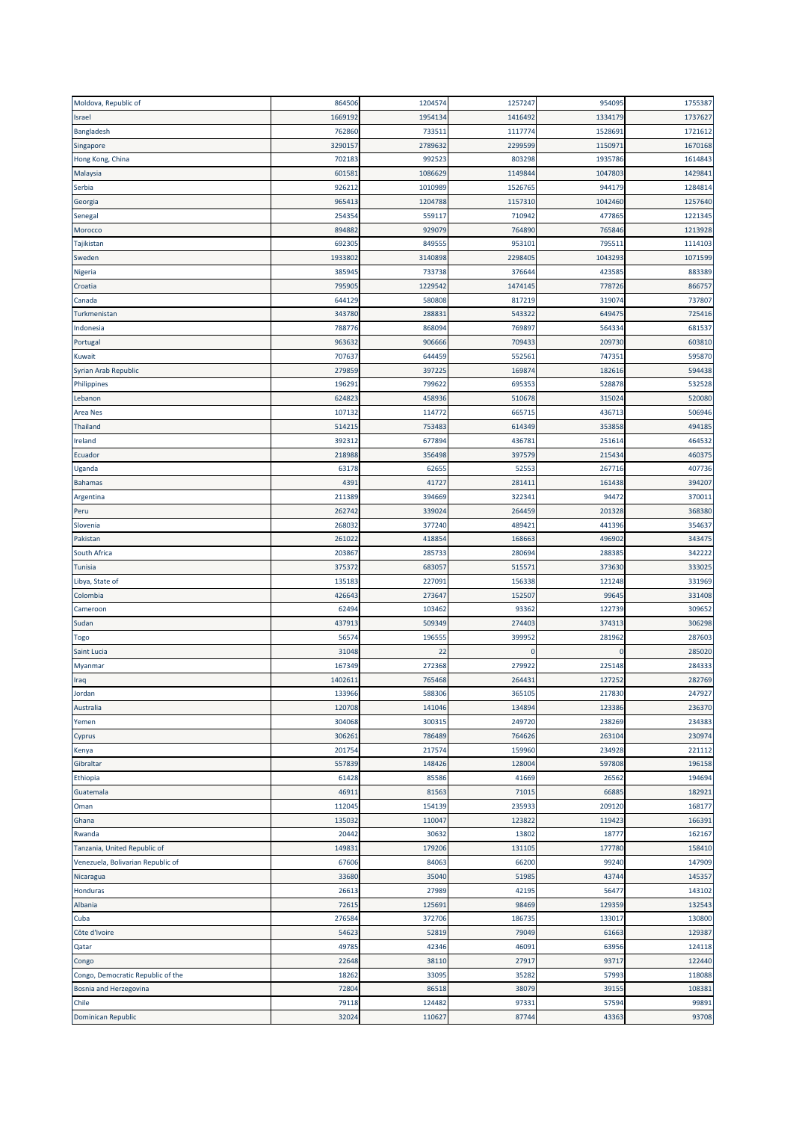| Moldova, Republic of              | 864506  | 1204574 | 1257247 | 954095  | 1755387 |
|-----------------------------------|---------|---------|---------|---------|---------|
| Israel                            | 166919  | 1954134 | 1416492 | 133417  | 1737627 |
| Bangladesh                        | 762860  | 733511  | 1117774 | 152869  | 1721612 |
| Singapore                         | 329015  | 2789632 | 2299599 | 115097  | 1670168 |
| Hong Kong, China                  | 702183  | 992523  | 803298  | 1935786 | 1614843 |
| Malaysia                          | 60158   | 1086629 | 1149844 | 1047803 | 1429841 |
| Serbia                            | 926212  | 1010989 | 1526765 | 944179  | 1284814 |
| Georgia                           | 96541   | 1204788 | 1157310 | 1042460 | 1257640 |
| Senegal                           | 25435   | 559117  | 710942  | 477865  | 1221345 |
| Morocco                           | 89488   | 929079  | 764890  | 765846  | 1213928 |
| Tajikistan                        | 69230   | 849555  | 953101  | 795511  | 1114103 |
| Sweden                            | 193380  | 3140898 | 2298405 | 1043293 | 1071599 |
| Nigeria                           | 385945  | 733738  | 376644  | 423585  | 883389  |
| Croatia                           | 79590   | 1229542 | 1474145 | 778726  | 866757  |
| Canada                            | 644129  | 580808  | 817219  | 31907   | 737807  |
| Turkmenistan                      | 343780  | 288831  | 543322  | 649475  | 725416  |
| Indonesia                         | 788776  | 868094  | 769897  | 564334  | 681537  |
|                                   | 963632  | 906666  | 709433  | 209730  | 603810  |
| Portugal                          | 70763   | 644459  | 552561  | 747351  | 595870  |
| Kuwait<br>Syrian Arab Republic    | 279859  | 397225  | 169874  | 182616  |         |
|                                   |         |         |         |         | 594438  |
| Philippines                       | 19629   | 799622  | 695353  | 528878  | 532528  |
| Lebanon                           | 62482   | 458936  | 510678  | 315024  | 520080  |
| <b>Area Nes</b>                   | 10713   | 114772  | 665715  | 43671   | 506946  |
| Thailand                          | 51421   | 753483  | 614349  | 353858  | 494185  |
| Ireland                           | 39231   | 677894  | 436781  | 25161   | 464532  |
| Ecuador                           | 21898   | 356498  | 397579  | 21543   | 460375  |
| Uganda                            | 63178   | 62655   | 52553   | 267716  | 407736  |
| <b>Bahamas</b>                    | 439     | 41727   | 281411  | 161438  | 394207  |
| Argentina                         | 211389  | 394669  | 322341  | 94472   | 370011  |
| Peru                              | 262742  | 339024  | 264459  | 201328  | 368380  |
| Slovenia                          | 268032  | 377240  | 489421  | 441396  | 354637  |
| Pakistan                          | 261022  | 418854  | 168663  | 496902  | 343475  |
| South Africa                      | 20386   | 285733  | 280694  | 288385  | 342222  |
| Tunisia                           | 375372  | 683057  | 515571  | 373630  | 333025  |
| Libya, State of                   | 13518   | 227091  | 156338  | 121248  | 331969  |
| Colombia                          | 426643  | 273647  | 152507  | 9964    | 331408  |
| Cameroon                          | 6249    | 103462  | 93362   | 122739  | 309652  |
| Sudan                             | 437913  | 509349  | 274403  | 374313  | 306298  |
| Togo                              | 5657    | 196555  | 399952  | 281962  | 287603  |
| Saint Lucia                       | 31048   | 22      | 0       |         | 285020  |
| Myanmar                           | 167349  | 272368  | 279922  | 225148  | 284333  |
| Iraq                              | 140261: | 765468  | 264431  | 127252  | 282769  |
| Jordan                            | 133966  | 588306  | 365105  | 217830  | 247927  |
| Australia                         | 120708  | 141046  | 134894  | 123386  | 236370  |
| Yemen                             | 304068  | 300315  | 249720  | 238269  | 234383  |
| Cyprus                            | 30626:  | 786489  | 764626  | 263104  | 230974  |
| Kenya                             | 201754  | 217574  | 159960  | 234928  | 221112  |
| Gibraltar                         | 557839  | 148426  | 128004  | 597808  | 196158  |
| Ethiopia                          | 61428   | 85586   | 41669   | 26562   | 194694  |
| Guatemala                         | 4691    | 81563   | 71015   | 6688    | 182921  |
| Oman                              | 112045  | 154139  | 235933  | 209120  | 168177  |
| Ghana                             | 135032  | 110047  | 123822  | 119423  | 166391  |
| Rwanda                            | 20442   | 30632   | 13802   | 18777   | 162167  |
| Tanzania, United Republic of      | 14983   | 179206  | 131105  | 177780  | 158410  |
| Venezuela, Bolivarian Republic of | 67606   | 84063   | 66200   | 99240   | 147909  |
| Nicaragua                         | 33680   | 35040   | 51985   | 43744   | 145357  |
|                                   |         |         |         |         |         |
| Honduras                          | 26613   | 27989   | 42195   | 56477   | 143102  |
| Albania                           | 7261    | 125691  | 98469   | 129359  | 132543  |
| Cuba                              | 276584  | 372706  | 186735  | 133017  | 130800  |
| Côte d'Ivoire                     | 5462    | 52819   | 79049   | 61663   | 129387  |
| Qatar                             | 49785   | 42346   | 46091   | 63956   | 124118  |
| Congo                             | 22648   | 38110   | 27917   | 93717   | 122440  |
| Congo, Democratic Republic of the | 18262   | 33095   | 35282   | 57993   | 118088  |
| Bosnia and Herzegovina            | 72804   | 86518   | 38079   | 39155   | 108381  |
| Chile                             | 79118   | 124482  | 97331   | 57594   | 99891   |
| Dominican Republic                | 32024   | 110627  | 87744   | 43363   | 93708   |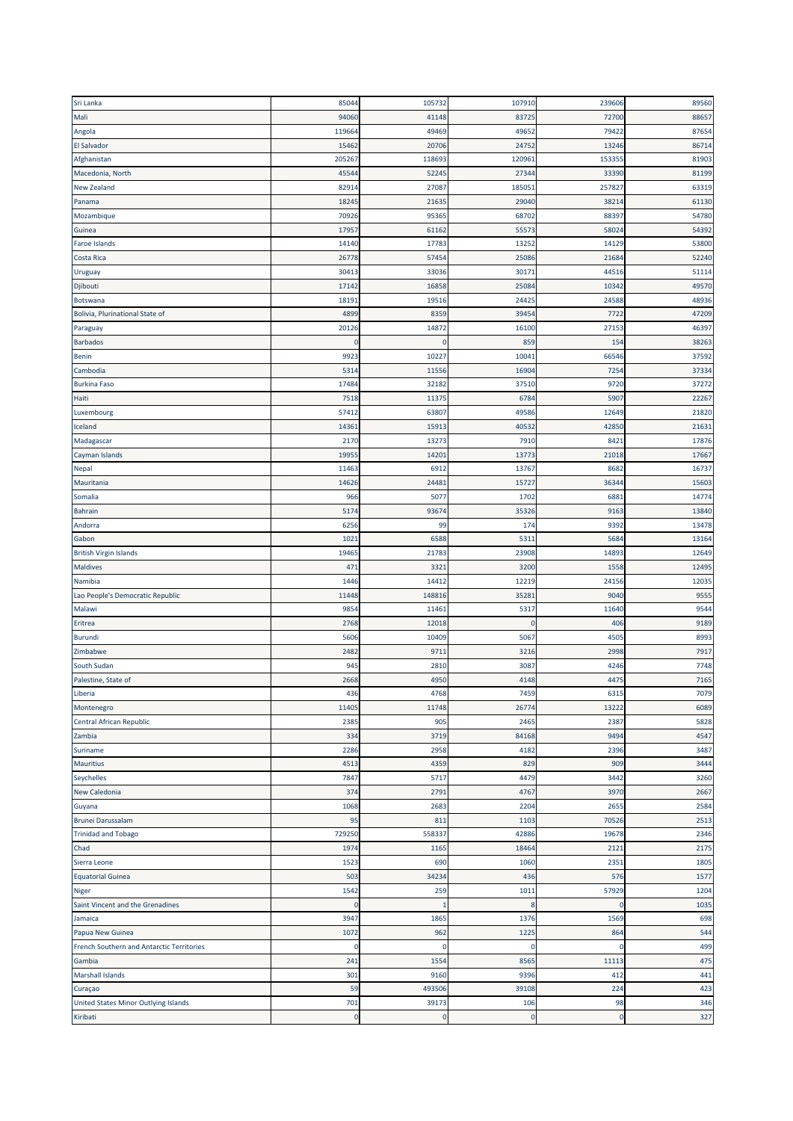| Sri Lanka                                 | 85044    | 105732      | 107910      | 239606   | 89560 |
|-------------------------------------------|----------|-------------|-------------|----------|-------|
| Mali                                      | 94060    | 41148       | 83725       | 72700    | 88657 |
| Angola                                    | 119664   | 49469       | 49652       | 79422    | 87654 |
| <b>El Salvador</b>                        | 15462    | 20706       | 24752       | 13246    | 86714 |
| Afghanistan                               | 205267   | 118693      | 120961      | 153355   | 81903 |
| Macedonia, North                          | 4554     | 52245       | 27344       | 33390    | 81199 |
| <b>New Zealand</b>                        | 82914    | 27087       | 185051      | 25782    | 63319 |
| Panama                                    | 18245    | 21635       | 29040       | 3821     | 61130 |
| Mozambique                                | 70926    | 95365       | 68702       | 88397    | 54780 |
| Guinea                                    | 1795     | 61162       | 55573       | 5802     | 54392 |
| Faroe Islands                             | 14140    | 17783       | 13252       | 1412     | 53800 |
| Costa Rica                                | 26778    | 57454       | 25086       | 2168     | 52240 |
| Uruguay                                   | 30413    | 33036       | 30171       | 44516    | 51114 |
| Djibouti                                  | 17142    | 16858       | 25084       | 1034     | 49570 |
| Botswana                                  | 1819     | 19516       | 24425       | 24588    | 48936 |
| Bolivia, Plurinational State of           | 4899     | 8359        | 39454       | 772      | 47209 |
| Paraguay                                  | 20126    | 14872       | 16100       | 27153    | 46397 |
| <b>Barbados</b>                           | O        | $\mathbf 0$ | 859         | 154      | 38263 |
|                                           | 9923     | 1022        | 10041       | 6654     | 37592 |
| Benin                                     |          |             |             |          |       |
| Cambodia                                  | 5314     | 11556       | 16904       | 7254     | 37334 |
| <b>Burkina Faso</b>                       | 17484    | 32182       | 37510       | 9720     | 37272 |
| Haiti                                     | 7518     | 11375       | 6784        | 590      | 22267 |
| Luxembourg                                | 5741     | 63807       | 49586       | 1264     | 21820 |
| Iceland                                   | 1436     | 15913       | 40532       | 4285     | 21631 |
| Madagascar                                | 2170     | 13273       | 7910        | 842      | 17876 |
| Cayman Islands                            | 1995     | 1420:       | 13773       | 2101     | 17667 |
| Nepal                                     | 11463    | 6912        | 13767       | 8682     | 16737 |
| Mauritania                                | 14626    | 24481       | 15727       | 3634     | 15603 |
| Somalia                                   | 966      | 5077        | 1702        | 6881     | 14774 |
| <b>Bahrain</b>                            | 517      | 93674       | 35326       | 9163     | 13840 |
| Andorra                                   | 6256     | 99          | 174         | 939      | 13478 |
| Gabon                                     | 1021     | 6588        | 5311        | 568      | 13164 |
| <b>British Virgin Islands</b>             | 19465    | 21783       | 23908       | 1489     | 12649 |
| <b>Maldives</b>                           | 471      | 3321        | 3200        | 1558     | 12495 |
| Namibia                                   | 1446     | 14412       | 12219       | 24156    | 12035 |
| Lao People's Democratic Republic          | 11448    | 148816      | 35281       | 9040     | 9555  |
| Malawi                                    | 9854     | 11461       | 5317        | 11640    | 9544  |
| Eritrea                                   | 2768     | 12018       | $\mathbf 0$ | 406      | 9189  |
| Burundi                                   | 5606     | 10409       | 5067        | 4505     | 8993  |
| Zimbabwe                                  | 2482     | 9711        | 3216        | 2998     | 7917  |
| South Sudan                               | 945      | 2810        | 3087        | 4246     | 7748  |
| Palestine, State of                       | 2668     | 4950        | 4148        | 4475     | 7165  |
| Liberia                                   | 436      | 4768        | 7459        | 6315     | 7079  |
| Montenegro                                | 11405    | 11748       | 26774       | 13222    | 6089  |
| Central African Republic                  | 2385     | 905         | 2465        | 2387     | 5828  |
| Zambia                                    | 334      | 3719        | 84168       | 9494     | 4547  |
| Suriname                                  | 2286     | 2958        | 4182        | 2396     | 3487  |
| <b>Mauritius</b>                          | 4513     | 4359        | 829         | 909      | 3444  |
| Seychelles                                | 7847     | 5717        | 4479        | 3442     | 3260  |
| <b>New Caledonia</b>                      | 374      | 2791        | 4767        | 3970     | 2667  |
| Guyana                                    | 1068     | 2683        | 2204        | 2655     | 2584  |
| <b>Brunei Darussalam</b>                  | 95       | 811         | 1103        | 70526    | 2513  |
| <b>Trinidad and Tobago</b>                | 729250   | 558337      | 42886       | 19678    | 2346  |
| Chad                                      | 1974     | 1165        | 18464       | 2121     | 2175  |
| Sierra Leone                              | 1523     | 690         | 1060        | 2351     | 1805  |
|                                           | 503      | 34234       | 436         | 576      | 1577  |
| <b>Equatorial Guinea</b>                  |          |             |             |          |       |
| Niger                                     | 1542     | 259         | 1011        | 57929    | 1204  |
| Saint Vincent and the Grenadines          | $\Omega$ | -1          | 8           | о        | 1035  |
| Jamaica                                   | 3947     | 1865        | 1376        | 1569     | 698   |
| Papua New Guinea                          | 1072     | 962         | 1225        | 864      | 544   |
| French Southern and Antarctic Territories | 0        | $\Omega$    | 0           | -0       | 499   |
| Gambia                                    | 241      | 1554        | 8565        | 11113    | 475   |
| <b>Marshall Islands</b>                   | 301      | 9160        | 9396        | 412      | 441   |
| Curaçao                                   | 59       | 493506      | 39108       | 224      | 423   |
| United States Minor Outlying Islands      | 701      | 39173       | 106         | 98       | 346   |
| Kiribati                                  | 0        | $\mathbf 0$ | $\bf{0}$    | $\Omega$ | 327   |